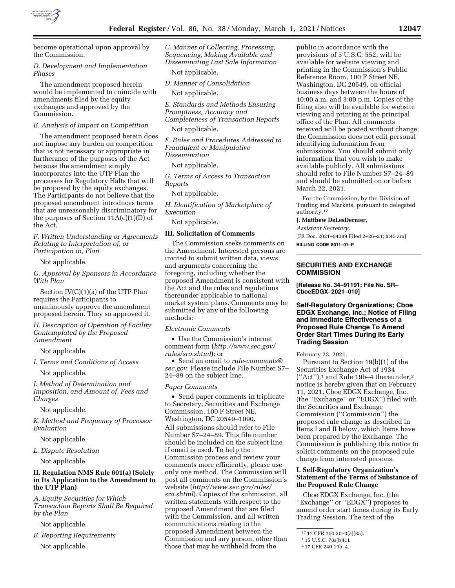

become operational upon approval by the Commission.

## *D. Development and Implementation Phases*

The amendment proposed herein would be implemented to coincide with amendments filed by the equity exchanges and approved by the Commission.

## *E. Analysis of Impact on Competition*

The amendment proposed herein does not impose any burden on competition that is not necessary or appropriate in furtherance of the purposes of the Act because the amendment simply incorporates into the UTP Plan the processes for Regulatory Halts that will be proposed by the equity exchanges. The Participants do not believe that the proposed amendment introduces terms that are unreasonably discriminatory for the purposes of Section  $11A(c)(1)(D)$  of the Act.

*F. Written Understanding or Agreements Relating to Interpretation of, or Participation in, Plan* 

Not applicable.

*G. Approval by Sponsors in Accordance With Plan* 

Section IV(C)(1)(a) of the UTP Plan requires the Participants to unanimously approve the amendment proposed herein. They so approved it.

*H. Description of Operation of Facility Contemplated by the Proposed Amendment* 

Not applicable.

*I. Terms and Conditions of Access* 

Not applicable.

*J. Method of Determination and Imposition, and Amount of, Fees and Charges* 

Not applicable.

*K. Method and Frequency of Processor Evaluation* 

Not applicable.

*L. Dispute Resolution* 

Not applicable.

# **II. Regulation NMS Rule 601(a) (Solely in Its Application to the Amendment to the UTP Plan)**

*A. Equity Securities for Which Transaction Reports Shall Be Required by the Plan* 

Not applicable.

*B. Reporting Requirements*  Not applicable.

*C. Manner of Collecting, Processing, Sequencing, Making Available and Disseminating Last Sale Information* 

Not applicable.

*D. Manner of Consolidation* 

Not applicable.

*E. Standards and Methods Ensuring Promptness, Accuracy and Completeness of Transaction Reports* 

Not applicable.

*F. Rules and Procedures Addressed to Fraudulent or Manipulative Dissemination* 

Not applicable.

*G. Terms of Access to Transaction Reports* 

Not applicable.

*H. Identification of Marketplace of Execution* 

Not applicable.

# **III. Solicitation of Comments**

The Commission seeks comments on the Amendment. Interested persons are invited to submit written data, views, and arguments concerning the foregoing, including whether the proposed Amendment is consistent with the Act and the rules and regulations thereunder applicable to national market system plans. Comments may be submitted by any of the following methods:

*Electronic Comments* 

• Use the Commission's internet comment form (*[http://www.sec.gov/](http://www.sec.gov/rules/sro.shtml)  [rules/sro.shtml](http://www.sec.gov/rules/sro.shtml)*); or

• Send an email to *[rule-comments@](mailto:rule-comments@sec.gov) [sec.gov.](mailto:rule-comments@sec.gov)* Please include File Number S7– 24–89 on the subject line.

## *Paper Comments*

• Send paper comments in triplicate to Secretary, Securities and Exchange Commission, 100 F Street NE, Washington, DC 20549–1090. All submissions should refer to File Number S7–24–89. This file number should be included on the subject line if email is used. To help the Commission process and review your comments more efficiently, please use only one method. The Commission will post all comments on the Commission's website (*[http://www.sec.gov/rules/](http://www.sec.gov/rules/sro.shtml) [sro.shtml](http://www.sec.gov/rules/sro.shtml)*). Copies of the submission, all written statements with respect to the proposed Amendment that are filed with the Commission, and all written communications relating to the proposed Amendment between the Commission and any person, other than those that may be withheld from the

public in accordance with the provisions of 5 U.S.C. 552, will be available for website viewing and printing in the Commission's Public Reference Room, 100 F Street NE, Washington, DC 20549, on official business days between the hours of 10:00 a.m. and 3:00 p.m. Copies of the filing also will be available for website viewing and printing at the principal office of the Plan. All comments received will be posted without change; the Commission does not edit personal identifying information from submissions. You should submit only information that you wish to make available publicly. All submissions should refer to File Number S7–24–89 and should be submitted on or before March 22, 2021.

For the Commission, by the Division of Trading and Markets, pursuant to delegated authority.17

**J. Matthew DeLesDernier,** 

*Assistant Secretary.* 

[FR Doc. 2021–04089 Filed 2–26–21; 8:45 am]

**BILLING CODE 8011–01–P** 

## **SECURITIES AND EXCHANGE COMMISSION**

**[Release No. 34–91191; File No. SR– CboeEDGX–2021–010]** 

**Self-Regulatory Organizations; Cboe EDGX Exchange, Inc.; Notice of Filing and Immediate Effectiveness of a Proposed Rule Change To Amend Order Start Times During Its Early Trading Session** 

February 23, 2021.

Pursuant to Section 19(b)(1) of the Securities Exchange Act of 1934  $("Act")$ ,<sup>1</sup> and Rule 19b-4 thereunder,<sup>2</sup> notice is hereby given that on February 11, 2021, Cboe EDGX Exchange, Inc. (the ''Exchange'' or ''EDGX'') filed with the Securities and Exchange Commission (''Commission'') the proposed rule change as described in Items I and II below, which Items have been prepared by the Exchange. The Commission is publishing this notice to solicit comments on the proposed rule change from interested persons.

# **I. Self-Regulatory Organization's Statement of the Terms of Substance of the Proposed Rule Change**

Cboe EDGX Exchange, Inc. (the "Exchange" or "EDGX") proposes to amend order start times during its Early Trading Session. The text of the

<sup>17</sup> 17 CFR 200.30–3(a)(85).

<sup>1</sup> 15 U.S.C. 78s(b)(1).

<sup>2</sup> 17 CFR 240.19b–4.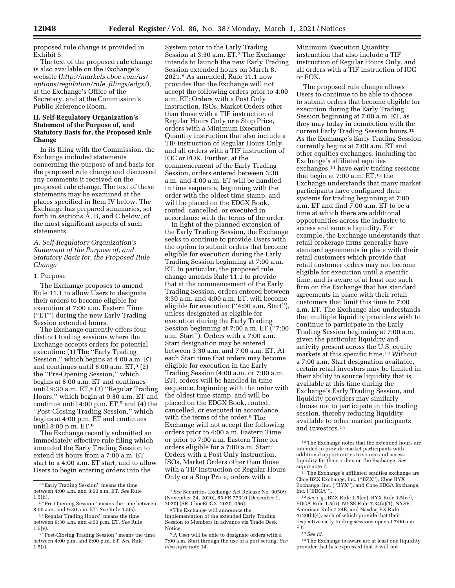proposed rule change is provided in Exhibit 5.

The text of the proposed rule change is also available on the Exchange's website (*[http://markets.cboe.com/us/](http://markets.cboe.com/us/options/regulation/rule_filings/edgx/) [options/regulation/rule](http://markets.cboe.com/us/options/regulation/rule_filings/edgx/)*\_*filings/edgx/*), at the Exchange's Office of the Secretary, and at the Commission's Public Reference Room.

## **II. Self-Regulatory Organization's Statement of the Purpose of, and Statutory Basis for, the Proposed Rule Change**

In its filing with the Commission, the Exchange included statements concerning the purpose of and basis for the proposed rule change and discussed any comments it received on the proposed rule change. The text of these statements may be examined at the places specified in Item IV below. The Exchange has prepared summaries, set forth in sections A, B, and C below, of the most significant aspects of such statements.

*A. Self-Regulatory Organization's Statement of the Purpose of, and Statutory Basis for, the Proposed Rule Change* 

#### 1. Purpose

The Exchange proposes to amend Rule 11.1 to allow Users to designate their orders to become eligible for execution at 7:00 a.m. Eastern Time (''ET'') during the new Early Trading Session extended hours.

The Exchange currently offers four distinct trading sessions where the Exchange accepts orders for potential execution: (1) The ''Early Trading Session,'' which begins at 4:00 a.m. ET and continues until  $8:00$  a.m. ET, $3(2)$ the ''Pre-Opening Session,'' which begins at 8:00 a.m. ET and continues until 9:30 a.m.  $ET<sub>1</sub><sup>4</sup>$  (3) "Regular Trading Hours,'' which begin at 9:30 a.m. ET and continue until  $4:00$  p.m. ET,<sup>5</sup> and (4) the ''Post-Closing Trading Session,'' which begins at 4:00 p.m. ET and continues until 8:00 p.m. ET.6

The Exchange recently submitted an immediately effective rule filing which amended the Early Trading Session to extend its hours from a 7:00 a.m. ET start to a 4:00 a.m. ET start, and to allow Users to begin entering orders into the

System prior to the Early Trading Session at 3:30 a.m. ET.7 The Exchange intends to launch the new Early Trading Session extended hours on March 8, 2021.8 As amended, Rule 11.1 now provides that the Exchange will not accept the following orders prior to 4:00 a.m. ET: Orders with a Post Only instruction, ISOs, Market Orders other than those with a TIF instruction of Regular Hours Only or a Stop Price, orders with a Minimum Execution Quantity instruction that also include a TIF instruction of Regular Hours Only, and all orders with a TIF instruction of IOC or FOK. Further, at the commencement of the Early Trading Session, orders entered between 3:30 a.m. and 4:00 a.m. ET will be handled in time sequence, beginning with the order with the oldest time stamp, and will be placed on the EDGX Book, routed, cancelled, or executed in accordance with the terms of the order.

In light of the planned extension of the Early Trading Session, the Exchange seeks to continue to provide Users with the option to submit orders that become eligible for execution during the Early Trading Session beginning at 7:00 a.m. ET. In particular, the proposed rule change amends Rule 11.1 to provide that at the commencement of the Early Trading Session, orders entered between 3:30 a.m. and 4:00 a.m. ET, will become eligible for execution (''4:00 a.m. Start''), unless designated as eligible for execution during the Early Trading Session beginning at 7:00 a.m. ET (''7:00 a.m. Start''). Orders with a 7:00 a.m. Start designation may be entered between 3:30 a.m. and 7:00 a.m. ET. At each Start time that orders may become eligible for execution in the Early Trading Session (4:00 a.m. or 7:00 a.m. ET), orders will be handled in time sequence, beginning with the order with the oldest time stamp, and will be placed on the EDGX Book, routed, cancelled, or executed in accordance with the terms of the order.9 The Exchange will not accept the following orders prior to 4:00 a.m. Eastern Time or prior to 7:00 a.m. Eastern Time for orders eligible for a 7:00 a.m. Start: Orders with a Post Only instruction, ISOs, Market Orders other than those with a TIF instruction of Regular Hours Only or a Stop Price, orders with a

Minimum Execution Quantity instruction that also include a TIF instruction of Regular Hours Only, and all orders with a TIF instruction of IOC or FOK.

The proposed rule change allows Users to continue to be able to choose to submit orders that become eligible for execution during the Early Trading Session beginning at 7:00 a.m. ET, as they may today in connection with the current Early Trading Session hours.10 As the Exchange's Early Trading Session currently begins at 7:00 a.m. ET and other equities exchanges, including the Exchange's affiliated equities exchanges,11 have early trading sessions that begin at  $7:00$  a.m.  $ET<sup>12</sup>$  the Exchange understands that many market participants have configured their systems for trading beginning at 7:00 a.m. ET and find 7:00 a.m. ET to be a time at which there are additional opportunities across the industry to access and source liquidity. For example, the Exchange understands that retail brokerage firms generally have standard agreements in place with their retail customers which provide that retail customer orders may not become eligible for execution until a specific time, and is aware of at least one such firm on the Exchange that has standard agreements in place with their retail customers that limit this time to 7:00 a.m. ET. The Exchange also understands that multiple liquidity providers wish to continue to participate in the Early Trading Session beginning at 7:00 a.m. given the particular liquidity and activity present across the U.S. equity markets at this specific time.13 Without a 7:00 a.m. Start designation available, certain retail investors may be limited in their ability to source liquidity that is available at this time during the Exchange's Early Trading Session, and liquidity providers may similarly choose not to participate in this trading session, thereby reducing liquidity available to other market participants and investors.14

13*See id.* 

<sup>3</sup> ''Early Trading Session'' means the time between 4:00 a.m. and 8:00 a.m. ET. *See* Rule 1.5(ii).

<sup>4</sup> ''Pre-Opening Session'' means the time between 8:00 a.m. and 9:30 a.m. ET. *See* Rule 1.5(s).

<sup>5</sup> ''Regular Trading Hours'' means the time between 9:30 a.m. and 4:00 p.m. ET. *See* Rule  $1.5(y)$ .

<sup>6</sup> ''Post-Closing Trading Session'' means the time between 4:00 p.m. and 8:00 p.m. ET. *See* Rule 1.5(r).

<sup>7</sup>*See* Securities Exchange Act Release No. 90509 (November 24, 2020), 85 FR 77310 (December 1, 2020) (SR–CboeEDGX–2020–056).

<sup>8</sup>The Exchange will announce the implementation of the extended Early Trading Session to Members in advance via Trade Desk Notice.

<sup>9</sup>A User will be able to designate orders with a 7:00 a.m. Start through the use of a port setting. *See also infra* note 14.

<sup>10</sup>The Exchange notes that the extended hours are intended to provide market participants with additional opportunities to source and access liquidity for their orders on the Exchange. *See supra* note 7.

<sup>&</sup>lt;sup>11</sup>The Exchange's affiliated equities exchange are Cboe BZX Exchange, Inc. (''BZX''), Cboe BYX Exchange, Inc. (''BYX''), and Cboe EDGA Exchange, Inc. (''EDGA'').

<sup>12</sup>*See e.g.,* BZX Rule 1.5(ee), BYX Rule 1.5(ee), EDGA Rule 1.5(ii), NYSE Rule 7.34(a)(1), NYSE American Rule 7.34E, and Nasdaq BX Rule 4120(b)(4), each of which provide that their respective early trading sessions open at 7:00 a.m. ET.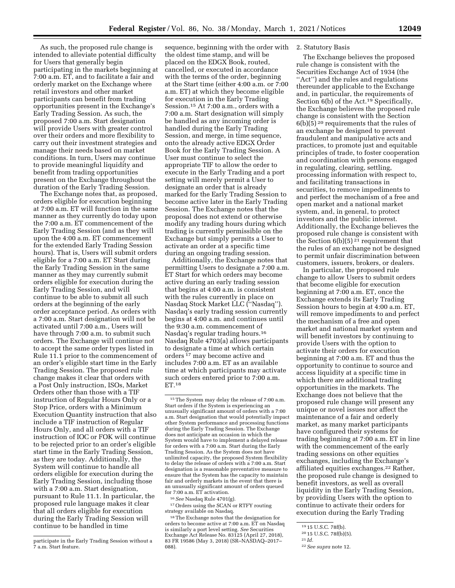As such, the proposed rule change is intended to alleviate potential difficulty for Users that generally begin participating in the markets beginning at 7:00 a.m. ET, and to facilitate a fair and orderly market on the Exchange where retail investors and other market participants can benefit from trading opportunities present in the Exchange's Early Trading Session. As such, the proposed 7:00 a.m. Start designation will provide Users with greater control over their orders and more flexibility to carry out their investment strategies and manage their needs based on market conditions. In turn, Users may continue to provide meaningful liquidity and benefit from trading opportunities present on the Exchange throughout the duration of the Early Trading Session.

The Exchange notes that, as proposed, orders eligible for execution beginning at 7:00 a.m. ET will function in the same manner as they currently do today upon the 7:00 a.m. ET commencement of the Early Trading Session (and as they will upon the 4:00 a.m. ET commencement for the extended Early Trading Session hours). That is, Users will submit orders eligible for a 7:00 a.m. ET Start during the Early Trading Session in the same manner as they may currently submit orders eligible for execution during the Early Trading Session, and will continue to be able to submit all such orders at the beginning of the early order acceptance period. As orders with a 7:00 a.m. Start designation will not be activated until 7:00 a.m., Users will have through 7:00 a.m. to submit such orders. The Exchange will continue not to accept the same order types listed in Rule 11.1 prior to the commencement of an order's eligible start time in the Early Trading Session. The proposed rule change makes it clear that orders with a Post Only instruction, ISOs, Market Orders other than those with a TIF instruction of Regular Hours Only or a Stop Price, orders with a Minimum Execution Quantity instruction that also include a TIF instruction of Regular Hours Only, and all orders with a TIF instruction of IOC or FOK will continue to be rejected prior to an order's eligible start time in the Early Trading Session, as they are today. Additionally, the System will continue to handle all orders eligible for execution during the Early Trading Session, including those with a 7:00 a.m. Start designation, pursuant to Rule 11.1. In particular, the proposed rule language makes it clear that all orders eligible for execution during the Early Trading Session will continue to be handled in time

sequence, beginning with the order with 2. Statutory Basis the oldest time stamp, and will be placed on the EDGX Book, routed, cancelled, or executed in accordance with the terms of the order, beginning at the Start time (either 4:00 a.m. or 7:00 a.m. ET) at which they become eligible for execution in the Early Trading Session.15 At 7:00 a.m., orders with a 7:00 a.m. Start designation will simply be handled as any incoming order is handled during the Early Trading Session, and merge, in time sequence, onto the already active EDGX Order Book for the Early Trading Session. A User must continue to select the appropriate TIF to allow the order to execute in the Early Trading and a port setting will merely permit a User to designate an order that is already marked for the Early Trading Session to become active later in the Early Trading Session. The Exchange notes that the proposal does not extend or otherwise modify any trading hours during which trading is currently permissible on the Exchange but simply permits a User to activate an order at a specific time during an ongoing trading session.

Additionally, the Exchange notes that permitting Users to designate a 7:00 a.m. ET Start for which orders may become active during an early trading session that begins at 4:00 a.m. is consistent with the rules currently in place on Nasdaq Stock Market LLC (''Nasdaq''). Nasdaq's early trading session currently begins at 4:00 a.m. and continues until the 9:30 a.m. commencement of Nasdaq's regular trading hours.16 Nasdaq Rule 4703(a) allows participants to designate a time at which certain orders 17 may become active and includes 7:00 a.m. ET as an available time at which participants may activate such orders entered prior to 7:00 a.m. ET.18

<sup>16</sup> See Nasdaq Rule 4701(g).<br><sup>17</sup> Orders using the SCAN or RTFY routing<br>strategy available on Nasdaq.

<sup>18</sup>The Exchange notes that the designation for orders to become active at 7:00 a.m. ET on Nasdaq is similarly a port level setting. *See* Securities Exchange Act Release No. 83125 (April 27, 2018), 83 FR 19586 (May 3, 2018) (SR–NASDAQ–2017– 088).

The Exchange believes the proposed rule change is consistent with the Securities Exchange Act of 1934 (the ''Act'') and the rules and regulations thereunder applicable to the Exchange and, in particular, the requirements of Section 6(b) of the Act.<sup>19</sup> Specifically, the Exchange believes the proposed rule change is consistent with the Section 6(b)(5) 20 requirements that the rules of an exchange be designed to prevent fraudulent and manipulative acts and practices, to promote just and equitable principles of trade, to foster cooperation and coordination with persons engaged in regulating, clearing, settling, processing information with respect to, and facilitating transactions in securities, to remove impediments to and perfect the mechanism of a free and open market and a national market system, and, in general, to protect investors and the public interest. Additionally, the Exchange believes the proposed rule change is consistent with the Section  $6(b)(5)^{21}$  requirement that the rules of an exchange not be designed to permit unfair discrimination between customers, issuers, brokers, or dealers.

In particular, the proposed rule change to allow Users to submit orders that become eligible for execution beginning at 7:00 a.m. ET, once the Exchange extends its Early Trading Session hours to begin at 4:00 a.m. ET, will remove impediments to and perfect the mechanism of a free and open market and national market system and will benefit investors by continuing to provide Users with the option to activate their orders for execution beginning at 7:00 a.m. ET and thus the opportunity to continue to source and access liquidity at a specific time in which there are additional trading opportunities in the markets. The Exchange does not believe that the proposed rule change will present any unique or novel issues nor affect the maintenance of a fair and orderly market, as many market participants have configured their systems for trading beginning at 7:00 a.m. ET in line with the commencement of the early trading sessions on other equities exchanges, including the Exchange's affiliated equities exchanges.22 Rather, the proposed rule change is designed to benefit investors, as well as overall liquidity in the Early Trading Session, by providing Users with the option to continue to activate their orders for execution during the Early Trading

participate in the Early Trading Session without a 7 a.m. Start feature.

<sup>15</sup>The System may delay the release of 7:00 a.m. Start orders if the System is experiencing an unusually significant amount of orders with a 7:00 a.m. Start designation that would potentially impact other System performance and processing functions during the Early Trading Session. The Exchange does not anticipate an occasion in which the System would have to implement a delayed release for orders with a 7:00 a.m. Start during the Early Trading Session. As the System does not have unlimited capacity, the proposed System flexibility to delay the release of orders with a 7:00 a.m. Start designation is a reasonable preventative measure to ensure that the System has the capacity to maintain fair and orderly markets in the event that there is an unusually significant amount of orders queued for 7:00 a.m. ET activation.

<sup>19</sup> 15 U.S.C. 78f(b). 20 15 U.S.C. 78f(b)(5). 21 *Id.* 

<sup>22</sup>*See supra* note 12.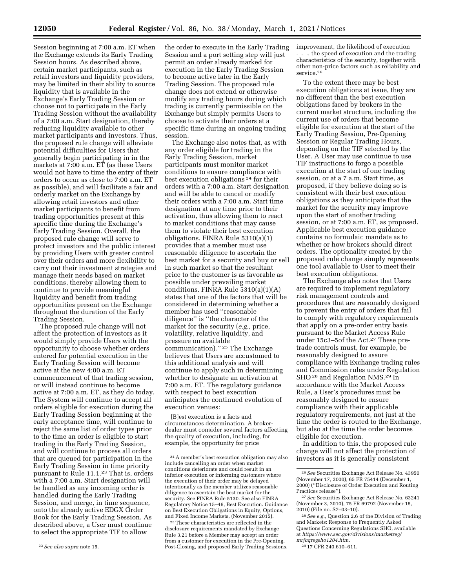Session beginning at 7:00 a.m. ET when the Exchange extends its Early Trading Session hours. As described above, certain market participants, such as retail investors and liquidity providers, may be limited in their ability to source liquidity that is available in the Exchange's Early Trading Session or choose not to participate in the Early Trading Session without the availability of a 7:00 a.m. Start designation, thereby reducing liquidity available to other market participants and investors. Thus, the proposed rule change will alleviate potential difficulties for Users that generally begin participating in in the markets at 7:00 a.m. ET (as these Users would not have to time the entry of their orders to occur as close to 7:00 a.m. ET as possible), and will facilitate a fair and orderly market on the Exchange by allowing retail investors and other market participants to benefit from trading opportunities present at this specific time during the Exchange's Early Trading Session. Overall, the proposed rule change will serve to protect investors and the public interest by providing Users with greater control over their orders and more flexibility to carry out their investment strategies and manage their needs based on market conditions, thereby allowing them to continue to provide meaningful liquidity and benefit from trading opportunities present on the Exchange throughout the duration of the Early Trading Session.

The proposed rule change will not affect the protection of investors as it would simply provide Users with the opportunity to choose whether orders entered for potential execution in the Early Trading Session will become active at the new 4:00 a.m. ET commencement of that trading session, or will instead continue to become active at 7:00 a.m. ET, as they do today. The System will continue to accept all orders eligible for execution during the Early Trading Session beginning at the early acceptance time, will continue to reject the same list of order types prior to the time an order is eligible to start trading in the Early Trading Session, and will continue to process all orders that are queued for participation in the Early Trading Session in time priority pursuant to Rule 11.1.<sup>23</sup> That is, orders with a 7:00 a.m. Start designation will be handled as any incoming order is handled during the Early Trading Session, and merge, in time sequence, onto the already active EDGX Order Book for the Early Trading Session. As described above, a User must continue to select the appropriate TIF to allow

the order to execute in the Early Trading Session and a port setting step will just permit an order already marked for execution in the Early Trading Session to become active later in the Early Trading Session. The proposed rule change does not extend or otherwise modify any trading hours during which trading is currently permissible on the Exchange but simply permits Users to choose to activate their orders at a specific time during an ongoing trading session.

The Exchange also notes that, as with any order eligible for trading in the Early Trading Session, market participants must monitor market conditions to ensure compliance with best execution obligations 24 for their orders with a 7:00 a.m. Start designation and will be able to cancel or modify their orders with a 7:00 a.m. Start time designation at any time prior to their activation, thus allowing them to react to market conditions that may cause them to violate their best execution obligations. FINRA Rule 5310(a)(1) provides that a member must use reasonable diligence to ascertain the best market for a security and buy or sell in such market so that the resultant price to the customer is as favorable as possible under prevailing market conditions. FINRA Rule 5310(a)(1)(A) states that one of the factors that will be considered in determining whether a member has used ''reasonable diligence'' is ''the character of the market for the security (*e.g.,* price, volatility, relative liquidity, and pressure on available communication).'' 25 The Exchange believes that Users are accustomed to this additional analysis and will continue to apply such in determining whether to designate an activation at 7:00 a.m. ET. The regulatory guidance with respect to best execution anticipates the continued evolution of execution venues:

[B]est execution is a facts and circumstances determination. A brokerdealer must consider several factors affecting the quality of execution, including, for example, the opportunity for price

25These characteristics are reflected in the disclosure requirements mandated by Exchange Rule 3.21 before a Member may accept an order from a customer for execution in the Pre-Opening, Post-Closing, and proposed Early Trading Sessions. improvement, the likelihood of execution . . ., the speed of execution and the trading characteristics of the security, together with other non-price factors such as reliability and service.<sup>26</sup>

To the extent there may be best execution obligations at issue, they are no different than the best execution obligations faced by brokers in the current market structure, including the current use of orders that become eligible for execution at the start of the Early Trading Session, Pre-Opening Session or Regular Trading Hours, depending on the TIF selected by the User. A User may use continue to use TIF instructions to forgo a possible execution at the start of one trading session, or at a 7 a.m. Start time, as proposed, if they believe doing so is consistent with their best execution obligations as they anticipate that the market for the security may improve upon the start of another trading session, or at 7:00 a.m. ET, as proposed. Applicable best execution guidance contains no formulaic mandate as to whether or how brokers should direct orders. The optionality created by the proposed rule change simply represents one tool available to User to meet their best execution obligations.

The Exchange also notes that Users are required to implement regulatory risk management controls and procedures that are reasonably designed to prevent the entry of orders that fail to comply with regulatory requirements that apply on a pre-order entry basis pursuant to the Market Access Rule under 15c3–5of the Act.27 These pretrade controls must, for example, be reasonably designed to assure compliance with Exchange trading rules and Commission rules under Regulation SHO 28 and Regulation NMS.29 In accordance with the Market Access Rule, a User's procedures must be reasonably designed to ensure compliance with their applicable regulatory requirements, not just at the time the order is routed to the Exchange, but also at the time the order becomes eligible for execution.

In addition to this, the proposed rule change will not affect the protection of investors as it is generally consistent

28*See e.g.,* Question 2.6 of the Division of Trading and Markets: Response to Frequently Asked Questions Concerning Regulations SHO, available at *[https://www.sec.gov/divisions/marketreg/](https://www.sec.gov/divisions/marketreg/mrfaqregsho1204.htm)  [mrfaqregsho1204.htm.](https://www.sec.gov/divisions/marketreg/mrfaqregsho1204.htm)* 

29 17 CFR 240.610–611.

<sup>23</sup>*See also supra* note 15.

<sup>24</sup>A member's best execution obligation may also include cancelling an order when market conditions deteriorate and could result in an inferior execution or informing customers where the execution of their order may be delayed intentionally as the member utilizes reasonable diligence to ascertain the best market for the security. See FINRA Rule 5130. See also FINRA Regulatory Notice 15–46, Best Execution. Guidance on Best Execution Obligations in Equity, Options, and Fixed Income Markets, (November 2015).

<sup>26</sup>*See* Securities Exchange Act Release No. 43950 (November 17, 2000), 65 FR 75414 (December 1, 2000) (''Disclosure of Order Execution and Routing Practices release'').

<sup>27</sup>*See* Securities Exchange Act Release No. 63241 (November 3, 2010), 75 FR 69792 (November 15, 2010) (File no. S7–03–10).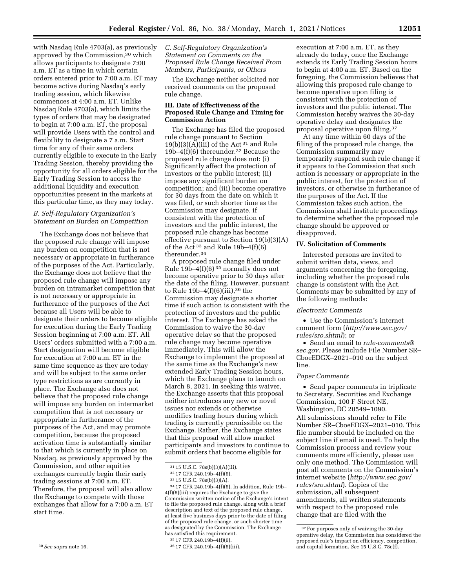with Nasdaq Rule 4703(a), as previously approved by the Commission,30 which allows participants to designate 7:00 a.m. ET as a time in which certain orders entered prior to 7:00 a.m. ET may become active during Nasdaq's early trading session, which likewise commences at 4:00 a.m. ET. Unlike Nasdaq Rule 4703(a), which limits the types of orders that may be designated to begin at 7:00 a.m. ET, the proposal will provide Users with the control and flexibility to designate a 7 a.m. Start time for any of their same orders currently eligible to execute in the Early Trading Session, thereby providing the opportunity for all orders eligible for the Early Trading Session to access the additional liquidity and execution opportunities present in the markets at this particular time, as they may today.

# *B. Self-Regulatory Organization's Statement on Burden on Competition*

The Exchange does not believe that the proposed rule change will impose any burden on competition that is not necessary or appropriate in furtherance of the purposes of the Act. Particularly, the Exchange does not believe that the proposed rule change will impose any burden on intramarket competition that is not necessary or appropriate in furtherance of the purposes of the Act because all Users will be able to designate their orders to become eligible for execution during the Early Trading Session beginning at 7:00 a.m. ET. All Users' orders submitted with a 7:00 a.m. Start designation will become eligible for execution at 7:00 a.m. ET in the same time sequence as they are today and will be subject to the same order type restrictions as are currently in place. The Exchange also does not believe that the proposed rule change will impose any burden on intermarket competition that is not necessary or appropriate in furtherance of the purposes of the Act, and may promote competition, because the proposed activation time is substantially similar to that which is currently in place on Nasdaq, as previously approved by the Commission, and other equities exchanges currently begin their early trading sessions at 7:00 a.m. ET. Therefore, the proposal will also allow the Exchange to compete with those exchanges that allow for a 7:00 a.m. ET start time.

The Exchange neither solicited nor received comments on the proposed rule change.

## **III. Date of Effectiveness of the Proposed Rule Change and Timing for Commission Action**

The Exchange has filed the proposed rule change pursuant to Section  $19(b)(3)(A)(iii)$  of the Act<sup>31</sup> and Rule 19b–4(f)(6) thereunder.32 Because the proposed rule change does not: (i) Significantly affect the protection of investors or the public interest; (ii) impose any significant burden on competition; and (iii) become operative for 30 days from the date on which it was filed, or such shorter time as the Commission may designate, if consistent with the protection of investors and the public interest, the proposed rule change has become effective pursuant to Section 19(b)(3)(A) of the Act  $33$  and Rule 19b-4(f)(6) thereunder.34

A proposed rule change filed under Rule  $19\bar{b}$ –4(f)(6)<sup>35</sup> normally does not become operative prior to 30 days after the date of the filing. However, pursuant to Rule  $19b-4(f)(6)(iii)$ , <sup>36</sup> the Commission may designate a shorter time if such action is consistent with the protection of investors and the public interest. The Exchange has asked the Commission to waive the 30-day operative delay so that the proposed rule change may become operative immediately. This will allow the Exchange to implement the proposal at the same time as the Exchange's new extended Early Trading Session hours, which the Exchange plans to launch on March 8, 2021. In seeking this waiver, the Exchange asserts that this proposal neither introduces any new or novel issues nor extends or otherwise modifies trading hours during which trading is currently permissible on the Exchange. Rather, the Exchange states that this proposal will allow market participants and investors to continue to submit orders that become eligible for

execution at 7:00 a.m. ET, as they already do today, once the Exchange extends its Early Trading Session hours to begin at 4:00 a.m. ET. Based on the foregoing, the Commission believes that allowing this proposed rule change to become operative upon filing is consistent with the protection of investors and the public interest. The Commission hereby waives the 30-day operative delay and designates the proposal operative upon filing.37

At any time within 60 days of the filing of the proposed rule change, the Commission summarily may temporarily suspend such rule change if it appears to the Commission that such action is necessary or appropriate in the public interest, for the protection of investors, or otherwise in furtherance of the purposes of the Act. If the Commission takes such action, the Commission shall institute proceedings to determine whether the proposed rule change should be approved or disapproved.

## **IV. Solicitation of Comments**

Interested persons are invited to submit written data, views, and arguments concerning the foregoing, including whether the proposed rule change is consistent with the Act. Comments may be submitted by any of the following methods:

#### *Electronic Comments*

• Use the Commission's internet comment form (*[http://www.sec.gov/](http://www.sec.gov/rules/sro.shtml)  [rules/sro.shtml](http://www.sec.gov/rules/sro.shtml)*); or

• Send an email to *[rule-comments@](mailto:rule-comments@sec.gov) [sec.gov.](mailto:rule-comments@sec.gov)* Please include File Number SR– CboeEDGX–2021–010 on the subject line.

### *Paper Comments*

• Send paper comments in triplicate to Secretary, Securities and Exchange Commission, 100 F Street NE, Washington, DC 20549–1090. All submissions should refer to File Number SR–CboeEDGX–2021–010. This file number should be included on the subject line if email is used. To help the Commission process and review your comments more efficiently, please use only one method. The Commission will post all comments on the Commission's internet website (*[http://www.sec.gov/](http://www.sec.gov/rules/sro.shtml)  [rules/sro.shtml](http://www.sec.gov/rules/sro.shtml)*). Copies of the submission, all subsequent amendments, all written statements with respect to the proposed rule change that are filed with the

*C. Self-Regulatory Organization's Statement on Comments on the Proposed Rule Change Received From Members, Participants, or Others* 

 $^{31}$  15 U.S.C. 78s(b)(3)(A)(iii).  $^{32}$ 17 CFR 240.19b–4(f)(6).  $^{33}$ 15 U.S.C. 78s(b)(3)(A).  $^{34}$ 17 CFR 240.19b–4(f)(6). In addition, Rule 19b– 4(f)(6)(iii) requires the Exchange to give the Commission written notice of the Exchange's intent to file the proposed rule change, along with a brief description and text of the proposed rule change, at least five business days prior to the date of filing of the proposed rule change, or such shorter time as designated by the Commission. The Exchange has satisfied this requirement.

<sup>35</sup> 17 CFR 240.19b–4(f)(6).

<sup>36</sup> 17 CFR 240.19b–4(f)(6)(iii).

<sup>37</sup>For purposes only of waiving the 30-day operative delay, the Commission has considered the proposed rule's impact on efficiency, competition, and capital formation. *See* 15 U.S.C. 78c(f).

<sup>30</sup>*See supra* note 16.